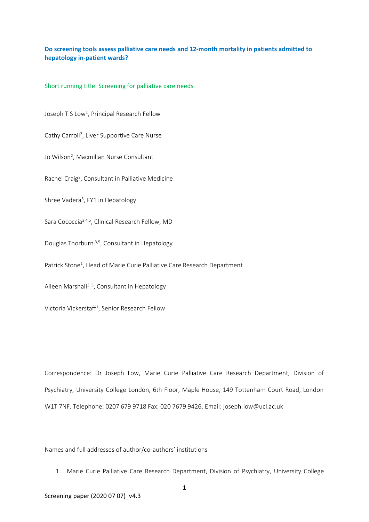# **Do screening tools assess palliative care needs and 12-month mortality in patients admitted to hepatology in-patient wards?**

Short running title: Screening for palliative care needs

Joseph T S Low<sup>1</sup>, Principal Research Fellow

Cathy Carroll<sup>2</sup>, Liver Supportive Care Nurse

Jo Wilson<sup>2</sup>, Macmillan Nurse Consultant

Rachel Craig<sup>2</sup>, Consultant in Palliative Medicine

Shree Vadera<sup>3</sup>, FY1 in Hepatology

Sara Cococcia3,4,5, Clinical Research Fellow, MD

Douglas Thorburn,3,5, Consultant in Hepatology

Patrick Stone<sup>1</sup>, Head of Marie Curie Palliative Care Research Department

Aileen Marshall<sup>3, 5</sup>, Consultant in Hepatology

Victoria Vickerstaff<sup>1</sup>, Senior Research Fellow

Correspondence: Dr Joseph Low, Marie Curie Palliative Care Research Department, Division of Psychiatry, University College London, 6th Floor, Maple House, 149 Tottenham Court Road, London W1T 7NF. Telephone: 0207 679 9718 Fax: 020 7679 9426. Email: joseph.low@ucl.ac.uk

Names and full addresses of author/co-authors' institutions

1. Marie Curie Palliative Care Research Department, Division of Psychiatry, University College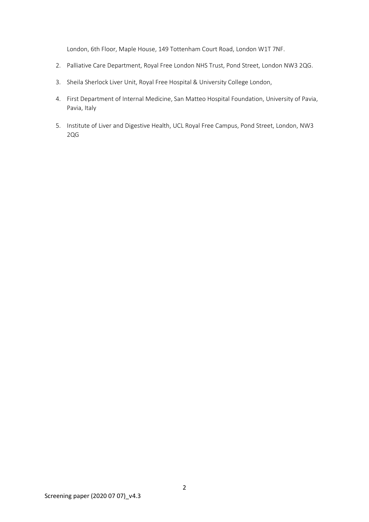London, 6th Floor, Maple House, 149 Tottenham Court Road, London W1T 7NF.

- 2. Palliative Care Department, Royal Free London NHS Trust, Pond Street, London NW3 2QG.
- 3. Sheila Sherlock Liver Unit, Royal Free Hospital & University College London,
- 4. First Department of Internal Medicine, San Matteo Hospital Foundation, University of Pavia, Pavia, Italy
- 5. Institute of Liver and Digestive Health, UCL Royal Free Campus, Pond Street, London, NW3 2QG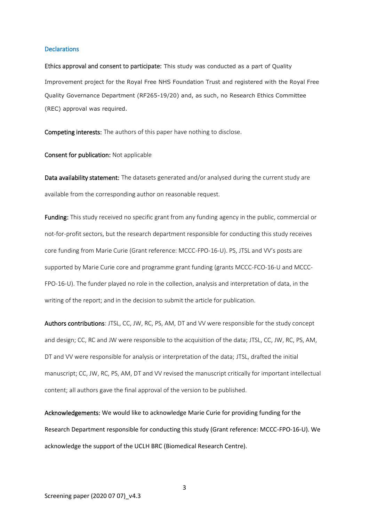#### **Declarations**

Ethics approval and consent to participate: This study was conducted as a part of Quality Improvement project for the Royal Free NHS Foundation Trust and registered with the Royal Free Quality Governance Department (RF265-19/20) and, as such, no Research Ethics Committee (REC) approval was required.

Competing interests: The authors of this paper have nothing to disclose.

Consent for publication: Not applicable

Data availability statement: The datasets generated and/or analysed during the current study are available from the corresponding author on reasonable request.

Funding: This study received no specific grant from any funding agency in the public, commercial or not-for-profit sectors, but the research department responsible for conducting this study receives core funding from Marie Curie (Grant reference: MCCC-FPO-16-U). PS, JTSL and VV's posts are supported by Marie Curie core and programme grant funding (grants MCCC-FCO-16-U and MCCC-FPO-16-U). The funder played no role in the collection, analysis and interpretation of data, in the writing of the report; and in the decision to submit the article for publication.

Authors contributions: JTSL, CC, JW, RC, PS, AM, DT and VV were responsible for the study concept and design; CC, RC and JW were responsible to the acquisition of the data; JTSL, CC, JW, RC, PS, AM, DT and VV were responsible for analysis or interpretation of the data; JTSL, drafted the initial manuscript; CC, JW, RC, PS, AM, DT and VV revised the manuscript critically for important intellectual content; all authors gave the final approval of the version to be published.

Acknowledgements: We would like to acknowledge Marie Curie for providing funding for the Research Department responsible for conducting this study (Grant reference: MCCC-FPO-16-U). We acknowledge the support of the UCLH BRC (Biomedical Research Centre).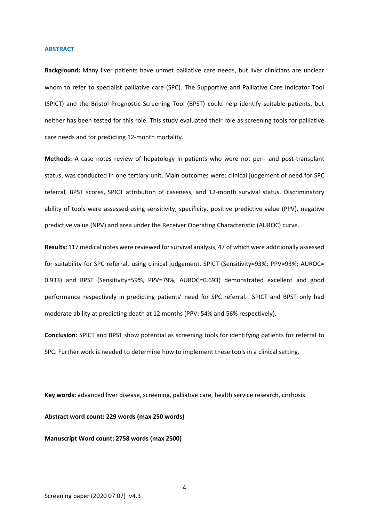#### **ABSTRACT**

**Background:** Many liver patients have unmet palliative care needs, but liver clinicians are unclear whom to refer to specialist palliative care (SPC). The Supportive and Palliative Care Indicator Tool (SPICT) and the Bristol Prognostic Screening Tool (BPST) could help identify suitable patients, but neither has been tested for this role. This study evaluated their role as screening tools for palliative care needs and for predicting 12-month mortality.

**Methods:** A case notes review of hepatology in-patients who were not peri- and post-transplant status, was conducted in one tertiary unit. Main outcomes were: clinical judgement of need for SPC referral, BPST scores, SPICT attribution of caseness, and 12-month survival status. Discriminatory ability of tools were assessed using sensitivity, specificity, positive predictive value (PPV), negative predictive value (NPV) and area under the Receiver Operating Characteristic (AUROC) curve.

**Results:** 117 medical notes were reviewed for survival analysis, 47 of which were additionally assessed for suitability for SPC referral, using clinical judgement. SPICT (Sensitivity=93%; PPV=93%; AUROC= 0.933) and BPST (Sensitivity=59%, PPV=79%, AUROC=0.693) demonstrated excellent and good performance respectively in predicting patients' need for SPC referral. SPICT and BPST only had moderate ability at predicting death at 12 months (PPV: 54% and 56% respectively).

**Conclusion:** SPICT and BPST show potential as screening tools for identifying patients for referral to SPC. Further work is needed to determine how to implement these tools in a clinical setting.

**Key words:** advanced liver disease, screening, palliative care, health service research, cirrhosis **Abstract word count: 229 words (max 250 words)**

**Manuscript Word count: 2758 words (max 2500)**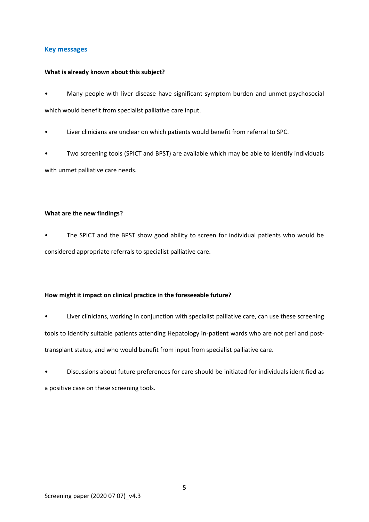# **Key messages**

### **What is already known about this subject?**

- Many people with liver disease have significant symptom burden and unmet psychosocial which would benefit from specialist palliative care input.
- Liver clinicians are unclear on which patients would benefit from referral to SPC.
- Two screening tools (SPICT and BPST) are available which may be able to identify individuals with unmet palliative care needs.

## **What are the new findings?**

• The SPICT and the BPST show good ability to screen for individual patients who would be considered appropriate referrals to specialist palliative care.

# **How might it impact on clinical practice in the foreseeable future?**

- Liver clinicians, working in conjunction with specialist palliative care, can use these screening tools to identify suitable patients attending Hepatology in-patient wards who are not peri and posttransplant status, and who would benefit from input from specialist palliative care.
- Discussions about future preferences for care should be initiated for individuals identified as a positive case on these screening tools.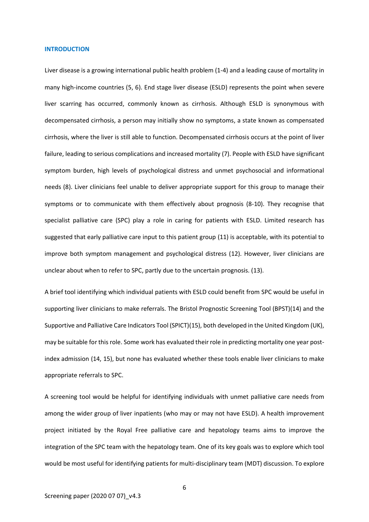#### **INTRODUCTION**

Liver disease is a growing international public health problem (1-4) and a leading cause of mortality in many high-income countries (5, 6). End stage liver disease (ESLD) represents the point when severe liver scarring has occurred, commonly known as cirrhosis. Although ESLD is synonymous with decompensated cirrhosis, a person may initially show no symptoms, a state known as compensated cirrhosis, where the liver is still able to function. Decompensated cirrhosis occurs at the point of liver failure, leading to serious complications and increased mortality (7). People with ESLD have significant symptom burden, high levels of psychological distress and unmet psychosocial and informational needs (8). Liver clinicians feel unable to deliver appropriate support for this group to manage their symptoms or to communicate with them effectively about prognosis (8-10). They recognise that specialist palliative care (SPC) play a role in caring for patients with ESLD. Limited research has suggested that early palliative care input to this patient group (11) is acceptable, with its potential to improve both symptom management and psychological distress (12). However, liver clinicians are unclear about when to refer to SPC, partly due to the uncertain prognosis. (13).

A brief tool identifying which individual patients with ESLD could benefit from SPC would be useful in supporting liver clinicians to make referrals. The Bristol Prognostic Screening Tool (BPST)(14) and the Supportive and Palliative Care Indicators Tool (SPICT)(15), both developed in the United Kingdom (UK), may be suitable for this role. Some work has evaluated their role in predicting mortality one year postindex admission (14, 15), but none has evaluated whether these tools enable liver clinicians to make appropriate referrals to SPC.

A screening tool would be helpful for identifying individuals with unmet palliative care needs from among the wider group of liver inpatients (who may or may not have ESLD). A health improvement project initiated by the Royal Free palliative care and hepatology teams aims to improve the integration of the SPC team with the hepatology team. One of its key goals was to explore which tool would be most useful for identifying patients for multi-disciplinary team (MDT) discussion. To explore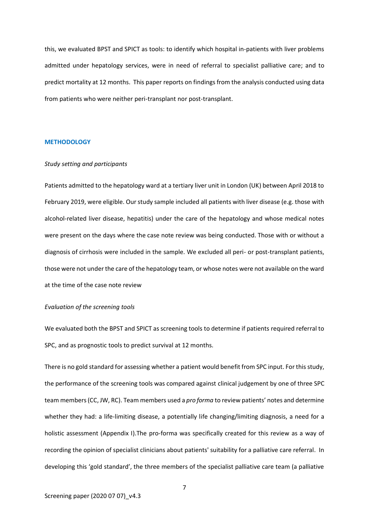this, we evaluated BPST and SPICT as tools: to identify which hospital in-patients with liver problems admitted under hepatology services, were in need of referral to specialist palliative care; and to predict mortality at 12 months. This paper reports on findings from the analysis conducted using data from patients who were neither peri-transplant nor post-transplant.

#### **METHODOLOGY**

#### *Study setting and participants*

Patients admitted to the hepatology ward at a tertiary liver unit in London (UK) between April 2018 to February 2019, were eligible. Our study sample included all patients with liver disease (e.g. those with alcohol-related liver disease, hepatitis) under the care of the hepatology and whose medical notes were present on the days where the case note review was being conducted. Those with or without a diagnosis of cirrhosis were included in the sample. We excluded all peri- or post-transplant patients, those were not under the care of the hepatology team, or whose notes were not available on the ward at the time of the case note review

### *Evaluation of the screening tools*

We evaluated both the BPST and SPICT as screening tools to determine if patients required referral to SPC, and as prognostic tools to predict survival at 12 months.

There is no gold standard for assessing whether a patient would benefit from SPC input. For this study, the performance of the screening tools was compared against clinical judgement by one of three SPC team members (CC, JW, RC). Team members used a *pro forma* to review patients' notes and determine whether they had: a life-limiting disease, a potentially life changing/limiting diagnosis, a need for a holistic assessment (Appendix I).The pro-forma was specifically created for this review as a way of recording the opinion of specialist clinicians about patients' suitability for a palliative care referral. In developing this 'gold standard', the three members of the specialist palliative care team (a palliative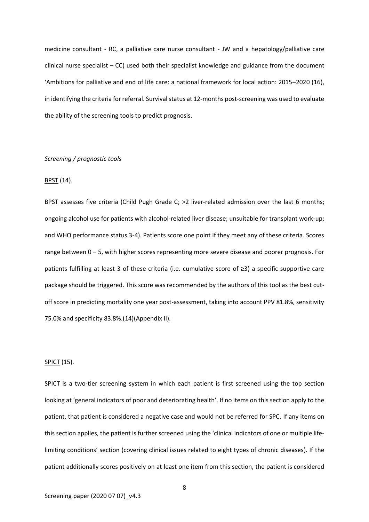medicine consultant - RC, a palliative care nurse consultant - JW and a hepatology/palliative care clinical nurse specialist – CC) used both their specialist knowledge and guidance from the document 'Ambitions for palliative and end of life care: a national framework for local action: 2015–2020 (16), in identifying the criteria for referral. Survival status at 12-months post-screening was used to evaluate the ability of the screening tools to predict prognosis.

### *Screening / prognostic tools*

### BPST (14).

BPST assesses five criteria (Child Pugh Grade C; >2 liver-related admission over the last 6 months; ongoing alcohol use for patients with alcohol-related liver disease; unsuitable for transplant work-up; and WHO performance status 3-4). Patients score one point if they meet any of these criteria. Scores range between 0 – 5, with higher scores representing more severe disease and poorer prognosis. For patients fulfilling at least 3 of these criteria (i.e. cumulative score of ≥3) a specific supportive care package should be triggered. This score was recommended by the authors of this tool as the best cutoff score in predicting mortality one year post-assessment, taking into account PPV 81.8%, sensitivity 75.0% and specificity 83.8%.(14)(Appendix II).

### **SPICT** (15).

SPICT is a two-tier screening system in which each patient is first screened using the top section looking at 'general indicators of poor and deteriorating health'. If no items on this section apply to the patient, that patient is considered a negative case and would not be referred for SPC. If any items on this section applies, the patient is further screened using the 'clinical indicators of one or multiple lifelimiting conditions' section (covering clinical issues related to eight types of chronic diseases). If the patient additionally scores positively on at least one item from this section, the patient is considered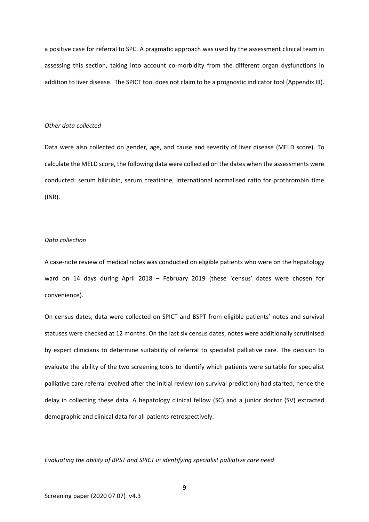a positive case for referral to SPC. A pragmatic approach was used by the assessment clinical team in assessing this section, taking into account co-morbidity from the different organ dysfunctions in addition to liver disease. The SPICT tool does not claim to be a prognostic indicator tool (Appendix III).

### *Other data collected*

Data were also collected on gender, age, and cause and severity of liver disease (MELD score). To calculate the MELD score, the following data were collected on the dates when the assessments were conducted: serum bilirubin, serum creatinine, International normalised ratio for prothrombin time (INR).

# *Data collection*

A case-note review of medical notes was conducted on eligible patients who were on the hepatology ward on 14 days during April 2018 – February 2019 (these 'census' dates were chosen for convenience).

On census dates, data were collected on SPICT and BSPT from eligible patients' notes and survival statuses were checked at 12 months. On the last six census dates, notes were additionally scrutinised by expert clinicians to determine suitability of referral to specialist palliative care. The decision to evaluate the ability of the two screening tools to identify which patients were suitable for specialist palliative care referral evolved after the initial review (on survival prediction) had started, hence the delay in collecting these data. A hepatology clinical fellow (SC) and a junior doctor (SV) extracted demographic and clinical data for all patients retrospectively.

*Evaluating the ability of BPST and SPICT in identifying specialist palliative care need*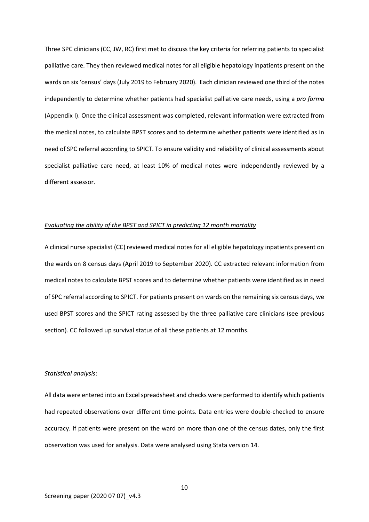Three SPC clinicians (CC, JW, RC) first met to discuss the key criteria for referring patients to specialist palliative care. They then reviewed medical notes for all eligible hepatology inpatients present on the wards on six 'census' days (July 2019 to February 2020). Each clinician reviewed one third of the notes independently to determine whether patients had specialist palliative care needs, using a *pro forma* (Appendix I). Once the clinical assessment was completed, relevant information were extracted from the medical notes, to calculate BPST scores and to determine whether patients were identified as in need of SPC referral according to SPICT. To ensure validity and reliability of clinical assessments about specialist palliative care need, at least 10% of medical notes were independently reviewed by a different assessor.

### *Evaluating the ability of the BPST and SPICT in predicting 12 month mortality*

A clinical nurse specialist (CC) reviewed medical notes for all eligible hepatology inpatients present on the wards on 8 census days (April 2019 to September 2020). CC extracted relevant information from medical notes to calculate BPST scores and to determine whether patients were identified as in need of SPC referral according to SPICT. For patients present on wards on the remaining six census days, we used BPST scores and the SPICT rating assessed by the three palliative care clinicians (see previous section). CC followed up survival status of all these patients at 12 months.

#### *Statistical analysis*:

All data were entered into an Excel spreadsheet and checks were performed to identify which patients had repeated observations over different time-points. Data entries were double-checked to ensure accuracy. If patients were present on the ward on more than one of the census dates, only the first observation was used for analysis. Data were analysed using Stata version 14.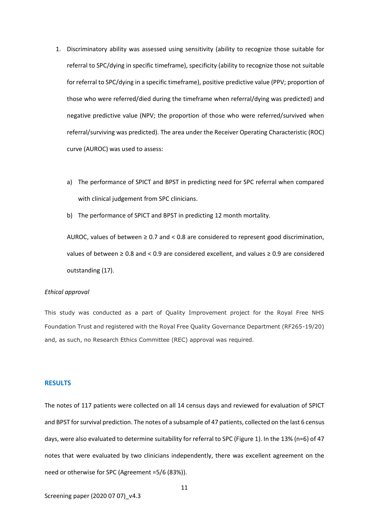- 1. Discriminatory ability was assessed using sensitivity (ability to recognize those suitable for referral to SPC/dying in specific timeframe), specificity (ability to recognize those not suitable for referral to SPC/dying in a specific timeframe), positive predictive value (PPV; proportion of those who were referred/died during the timeframe when referral/dying was predicted) and negative predictive value (NPV; the proportion of those who were referred/survived when referral/surviving was predicted). The area under the Receiver Operating Characteristic (ROC) curve (AUROC) was used to assess:
	- a) The performance of SPICT and BPST in predicting need for SPC referral when compared with clinical judgement from SPC clinicians.
	- b) The performance of SPICT and BPST in predicting 12 month mortality.

AUROC, values of between  $\geq 0.7$  and < 0.8 are considered to represent good discrimination, values of between ≥ 0.8 and < 0.9 are considered excellent, and values ≥ 0.9 are considered outstanding (17).

#### *Ethical approval*

This study was conducted as a part of Quality Improvement project for the Royal Free NHS Foundation Trust and registered with the Royal Free Quality Governance Department (RF265-19/20) and, as such, no Research Ethics Committee (REC) approval was required.

### **RESULTS**

The notes of 117 patients were collected on all 14 census days and reviewed for evaluation of SPICT and BPST for survival prediction. The notes of a subsample of 47 patients, collected on the last 6 census days, were also evaluated to determine suitability for referral to SPC (Figure 1). In the 13% (n=6) of 47 notes that were evaluated by two clinicians independently, there was excellent agreement on the need or otherwise for SPC (Agreement =5/6 (83%)).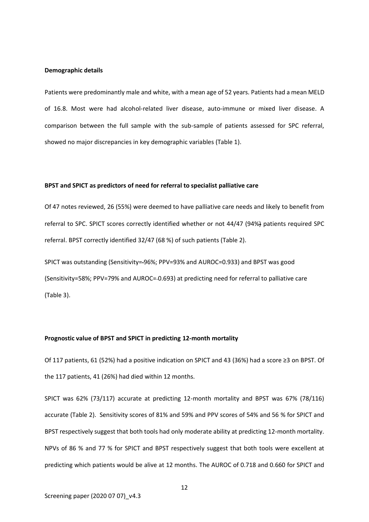#### **Demographic details**

Patients were predominantly male and white, with a mean age of 52 years. Patients had a mean MELD of 16.8. Most were had alcohol-related liver disease, auto-immune or mixed liver disease. A comparison between the full sample with the sub-sample of patients assessed for SPC referral, showed no major discrepancies in key demographic variables (Table 1).

### **BPST and SPICT as predictors of need for referral to specialist palliative care**

Of 47 notes reviewed, 26 (55%) were deemed to have palliative care needs and likely to benefit from referral to SPC. SPICT scores correctly identified whether or not 44/47 (94%) patients required SPC referral. BPST correctly identified 32/47 (68 %) of such patients (Table 2).

SPICT was outstanding (Sensitivity= 96%; PPV=93% and AUROC=0.933) and BPST was good (Sensitivity=58%; PPV=79% and AUROC= 0.693) at predicting need for referral to palliative care (Table 3).

### **Prognostic value of BPST and SPICT in predicting 12-month mortality**

Of 117 patients, 61 (52%) had a positive indication on SPICT and 43 (36%) had a score ≥3 on BPST. Of the 117 patients, 41 (26%) had died within 12 months.

SPICT was 62% (73/117) accurate at predicting 12-month mortality and BPST was 67% (78/116) accurate (Table 2). Sensitivity scores of 81% and 59% and PPV scores of 54% and 56 % for SPICT and BPST respectively suggest that both tools had only moderate ability at predicting 12-month mortality. NPVs of 86 % and 77 % for SPICT and BPST respectively suggest that both tools were excellent at predicting which patients would be alive at 12 months. The AUROC of 0.718 and 0.660 for SPICT and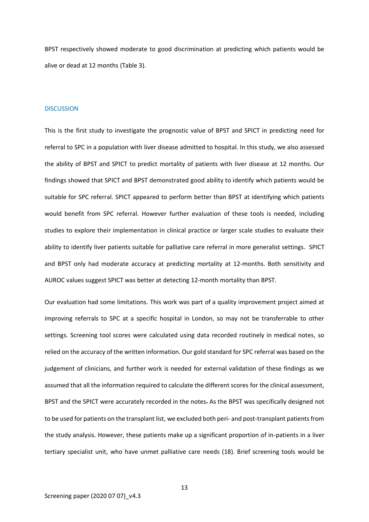BPST respectively showed moderate to good discrimination at predicting which patients would be alive or dead at 12 months (Table 3).

#### **DISCUSSION**

This is the first study to investigate the prognostic value of BPST and SPICT in predicting need for referral to SPC in a population with liver disease admitted to hospital. In this study, we also assessed the ability of BPST and SPICT to predict mortality of patients with liver disease at 12 months. Our findings showed that SPICT and BPST demonstrated good ability to identify which patients would be suitable for SPC referral. SPICT appeared to perform better than BPST at identifying which patients would benefit from SPC referral. However further evaluation of these tools is needed, including studies to explore their implementation in clinical practice or larger scale studies to evaluate their ability to identify liver patients suitable for palliative care referral in more generalist settings. SPICT and BPST only had moderate accuracy at predicting mortality at 12-months. Both sensitivity and AUROC values suggest SPICT was better at detecting 12-month mortality than BPST.

Our evaluation had some limitations. This work was part of a quality improvement project aimed at improving referrals to SPC at a specific hospital in London, so may not be transferrable to other settings. Screening tool scores were calculated using data recorded routinely in medical notes, so relied on the accuracy of the written information. Our gold standard for SPC referral was based on the judgement of clinicians, and further work is needed for external validation of these findings as we assumed that all the information required to calculate the different scores for the clinical assessment, BPST and the SPICT were accurately recorded in the notes. As the BPST was specifically designed not to be used for patients on the transplant list, we excluded both peri- and post-transplant patients from the study analysis. However, these patients make up a significant proportion of in-patients in a liver tertiary specialist unit, who have unmet palliative care needs (18). Brief screening tools would be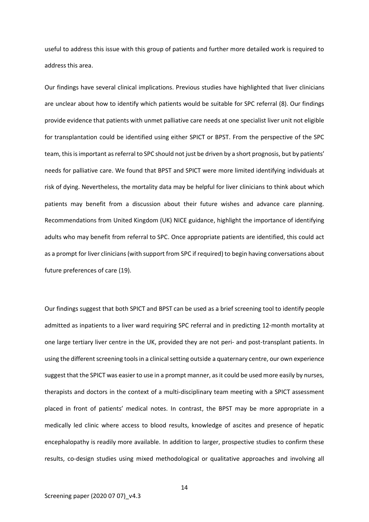useful to address this issue with this group of patients and further more detailed work is required to address this area.

Our findings have several clinical implications. Previous studies have highlighted that liver clinicians are unclear about how to identify which patients would be suitable for SPC referral (8). Our findings provide evidence that patients with unmet palliative care needs at one specialist liver unit not eligible for transplantation could be identified using either SPICT or BPST. From the perspective of the SPC team, this is important as referral to SPC should not just be driven by a short prognosis, but by patients' needs for palliative care. We found that BPST and SPICT were more limited identifying individuals at risk of dying. Nevertheless, the mortality data may be helpful for liver clinicians to think about which patients may benefit from a discussion about their future wishes and advance care planning. Recommendations from United Kingdom (UK) NICE guidance, highlight the importance of identifying adults who may benefit from referral to SPC. Once appropriate patients are identified, this could act as a prompt for liver clinicians (with support from SPC if required) to begin having conversations about future preferences of care (19).

Our findings suggest that both SPICT and BPST can be used as a brief screening tool to identify people admitted as inpatients to a liver ward requiring SPC referral and in predicting 12-month mortality at one large tertiary liver centre in the UK, provided they are not peri- and post-transplant patients. In using the different screening tools in a clinical setting outside a quaternary centre, our own experience suggest that the SPICT was easier to use in a prompt manner, as it could be used more easily by nurses, therapists and doctors in the context of a multi-disciplinary team meeting with a SPICT assessment placed in front of patients' medical notes. In contrast, the BPST may be more appropriate in a medically led clinic where access to blood results, knowledge of ascites and presence of hepatic encephalopathy is readily more available. In addition to larger, prospective studies to confirm these results, co-design studies using mixed methodological or qualitative approaches and involving all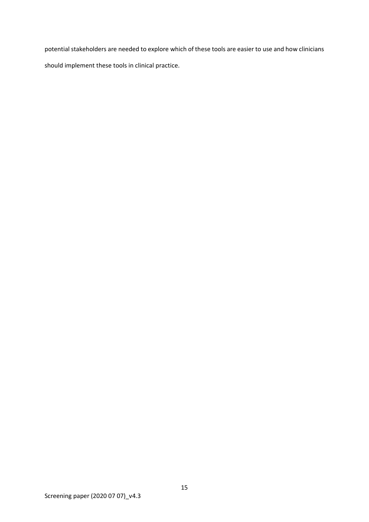potential stakeholders are needed to explore which of these tools are easier to use and how clinicians should implement these tools in clinical practice.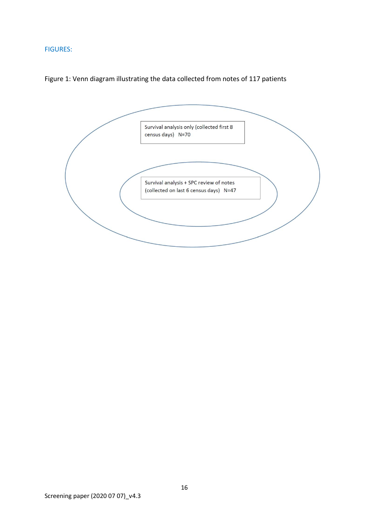# FIGURES:



# Figure 1: Venn diagram illustrating the data collected from notes of 117 patients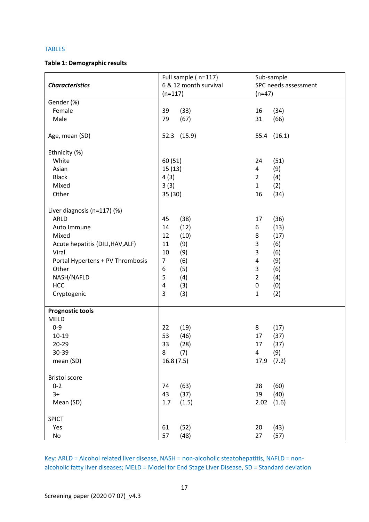### TABLES

# **Table 1: Demographic results**

| <b>Characteristics</b>           |                | Full sample (n=117)<br>6 & 12 month survival |                | Sub-sample<br>SPC needs assessment |  |
|----------------------------------|----------------|----------------------------------------------|----------------|------------------------------------|--|
|                                  |                | $(n=117)$                                    |                | $(n=47)$                           |  |
| Gender (%)                       |                |                                              |                |                                    |  |
| Female                           | 39             | (33)                                         | 16             | (34)                               |  |
| Male                             | 79             | (67)                                         | 31             | (66)                               |  |
| Age, mean (SD)                   |                | 52.3 (15.9)                                  |                | 55.4 (16.1)                        |  |
| Ethnicity (%)                    |                |                                              |                |                                    |  |
| White                            | 60(51)         |                                              | 24             | (51)                               |  |
| Asian                            | 15(13)         |                                              | 4              | (9)                                |  |
| <b>Black</b>                     | 4(3)           |                                              | $\overline{2}$ | (4)                                |  |
| Mixed                            | 3(3)           |                                              | $\mathbf{1}$   | (2)                                |  |
| Other                            | 35 (30)        |                                              | 16             | (34)                               |  |
| Liver diagnosis (n=117) (%)      |                |                                              |                |                                    |  |
| <b>ARLD</b>                      | 45             | (38)                                         | 17             | (36)                               |  |
| Auto Immune                      | 14             | (12)                                         | 6              | (13)                               |  |
| Mixed                            | 12             | (10)                                         | 8              | (17)                               |  |
| Acute hepatitis (DILI, HAV, ALF) | $11\,$         | (9)                                          | 3              | (6)                                |  |
| Viral                            | 10             | (9)                                          | 3              | (6)                                |  |
| Portal Hypertens + PV Thrombosis | $\overline{7}$ | (6)                                          | $\overline{a}$ | (9)                                |  |
| Other                            | 6              | (5)                                          | 3              | (6)                                |  |
| NASH/NAFLD                       | 5              | (4)                                          | $\overline{2}$ | (4)                                |  |
| <b>HCC</b>                       | $\pmb{4}$      | (3)                                          | $\pmb{0}$      | (0)                                |  |
| Cryptogenic                      | 3              | (3)                                          | $\mathbf{1}$   | (2)                                |  |
|                                  |                |                                              |                |                                    |  |
| <b>Prognostic tools</b>          |                |                                              |                |                                    |  |
| <b>MELD</b>                      |                |                                              |                |                                    |  |
| $0 - 9$                          | 22             | (19)                                         | 8              | (17)                               |  |
| $10 - 19$                        | 53             | (46)                                         | 17             | (37)                               |  |
| $20 - 29$                        | 33             | (28)                                         | 17             | (37)                               |  |
| 30-39                            | 8              | (7)                                          | 4              | (9)                                |  |
| mean (SD)                        | 16.8(7.5)      |                                              | 17.9           | (7.2)                              |  |
| <b>Bristol score</b>             |                |                                              |                |                                    |  |
| $0 - 2$                          | 74             | (63)                                         | 28             | (60)                               |  |
| $3+$                             | 43             | (37)                                         | 19             | (40)                               |  |
| Mean (SD)                        | 1.7            | (1.5)                                        | 2.02           | (1.6)                              |  |
| <b>SPICT</b>                     |                |                                              |                |                                    |  |
| Yes                              | 61             | (52)                                         | 20             | (43)                               |  |
| No                               | 57             | (48)                                         | 27             | (57)                               |  |

Key: ARLD = Alcohol related liver disease, NASH = non-alcoholic steatohepatitis, NAFLD = nonalcoholic fatty liver diseases; MELD = Model for End Stage Liver Disease, SD = Standard deviation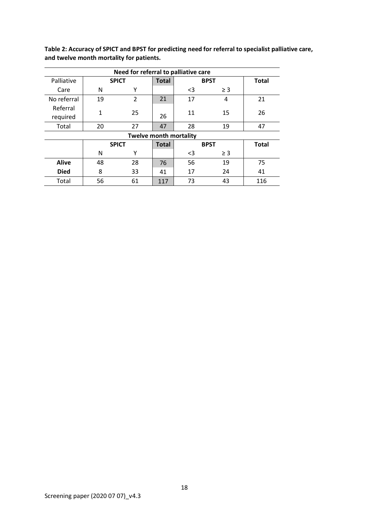**Table 2: Accuracy of SPICT and BPST for predicting need for referral to specialist palliative care, and twelve month mortality for patients.**

| Need for referral to palliative care |              |                |              |             |          |              |  |  |
|--------------------------------------|--------------|----------------|--------------|-------------|----------|--------------|--|--|
| Palliative                           | <b>SPICT</b> |                | <b>Total</b> | <b>BPST</b> |          | <b>Total</b> |  |  |
| Care                                 | N            | Υ              |              | <3          | $\geq$ 3 |              |  |  |
| No referral                          | 19           | $\overline{2}$ | 21           | 17          | 4        | 21           |  |  |
| Referral<br>required                 | 1            | 25             | 26           | 11          | 15       | 26           |  |  |
| Total                                | 20           | 27             | 47           | 28          | 19       | 47           |  |  |
| <b>Twelve month mortality</b>        |              |                |              |             |          |              |  |  |
|                                      | <b>SPICT</b> |                | <b>Total</b> | <b>BPST</b> |          | <b>Total</b> |  |  |
|                                      | N            | Υ              |              | $3$         | $\geq$ 3 |              |  |  |
| <b>Alive</b>                         | 48           | 28             | 76           | 56          | 19       | 75           |  |  |
| <b>Died</b>                          | 8            | 33             | 41           | 17          | 24       | 41           |  |  |
| Total                                | 56           | 61             | 117          | 73          | 43       | 116          |  |  |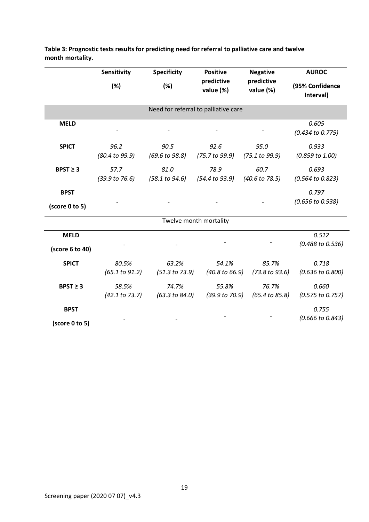|                                      | Sensitivity             | <b>Specificity</b>      | <b>Positive</b>                    | <b>Negative</b>                    | <b>AUROC</b>                         |  |  |  |  |
|--------------------------------------|-------------------------|-------------------------|------------------------------------|------------------------------------|--------------------------------------|--|--|--|--|
|                                      | (%)                     | (%)                     | predictive<br>value (%)            | predictive<br>value (%)            | (95% Confidence<br>Interval)         |  |  |  |  |
| Need for referral to palliative care |                         |                         |                                    |                                    |                                      |  |  |  |  |
| <b>MELD</b>                          |                         |                         |                                    |                                    | 0.605<br>(0.434 to 0.775)            |  |  |  |  |
| <b>SPICT</b>                         | 96.2<br>(80.4 to 99.9)  | 90.5<br>(69.6 to 98.8)  | 92.6<br>(75.7 to 99.9)             | 95.0<br>(75.1 to 99.9)             | 0.933<br>$(0.859 \text{ to } 1.00)$  |  |  |  |  |
| $BPST \geq 3$                        | 57.7<br>(39.9 to 76.6)  | 81.0<br>(58.1 to 94.6)  | 78.9<br>$(54.4 \text{ to } 93.9)$  | 60.7<br>$(40.6 \text{ to } 78.5)$  | 0.693<br>(0.564 to 0.823)            |  |  |  |  |
| <b>BPST</b><br>(score 0 to 5)        |                         |                         |                                    |                                    | 0.797<br>(0.656 to 0.938)            |  |  |  |  |
| Twelve month mortality               |                         |                         |                                    |                                    |                                      |  |  |  |  |
| <b>MELD</b><br>(score 6 to 40)       |                         |                         |                                    |                                    | 0.512<br>(0.488 to 0.536)            |  |  |  |  |
| <b>SPICT</b>                         | 80.5%<br>(65.1 to 91.2) | 63.2%<br>(51.3 to 73.9) | 54.1%<br>$(40.8 \text{ to } 66.9)$ | 85.7%<br>(73.8 to 93.6)            | 0.718<br>$(0.636 \text{ to } 0.800)$ |  |  |  |  |
| $BPST \geq 3$                        | 58.5%<br>(42.1 to 73.7) | 74.7%<br>(63.3 to 84.0) | 55.8%<br>(39.9 to 70.9)            | 76.7%<br>$(65.4 \text{ to } 85.8)$ | 0.660<br>$(0.575 \text{ to } 0.757)$ |  |  |  |  |
| <b>BPST</b><br>(score 0 to 5)        |                         |                         |                                    |                                    | 0.755<br>(0.666 to 0.843)            |  |  |  |  |

**Table 3: Prognostic tests results for predicting need for referral to palliative care and twelve month mortality.**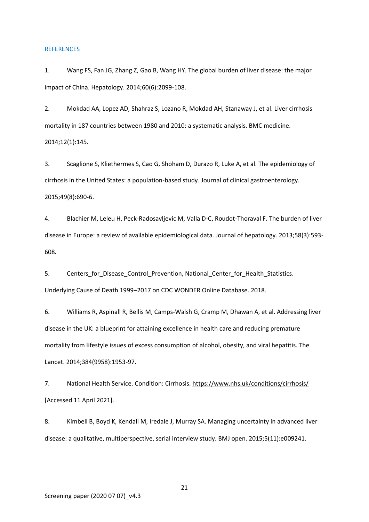#### **REFERENCES**

1. Wang FS, Fan JG, Zhang Z, Gao B, Wang HY. The global burden of liver disease: the major impact of China. Hepatology. 2014;60(6):2099-108.

2. Mokdad AA, Lopez AD, Shahraz S, Lozano R, Mokdad AH, Stanaway J, et al. Liver cirrhosis mortality in 187 countries between 1980 and 2010: a systematic analysis. BMC medicine. 2014;12(1):145.

3. Scaglione S, Kliethermes S, Cao G, Shoham D, Durazo R, Luke A, et al. The epidemiology of cirrhosis in the United States: a population-based study. Journal of clinical gastroenterology. 2015;49(8):690-6.

4. Blachier M, Leleu H, Peck-Radosavljevic M, Valla D-C, Roudot-Thoraval F. The burden of liver disease in Europe: a review of available epidemiological data. Journal of hepatology. 2013;58(3):593- 608.

5. Centers for Disease Control Prevention, National Center for Health Statistics. Underlying Cause of Death 1999–2017 on CDC WONDER Online Database. 2018.

6. Williams R, Aspinall R, Bellis M, Camps-Walsh G, Cramp M, Dhawan A, et al. Addressing liver disease in the UK: a blueprint for attaining excellence in health care and reducing premature mortality from lifestyle issues of excess consumption of alcohol, obesity, and viral hepatitis. The Lancet. 2014;384(9958):1953-97.

7. National Health Service. Condition: Cirrhosis[. https://www.nhs.uk/conditions/cirrhosis/](https://www.nhs.uk/conditions/cirrhosis/) [Accessed 11 April 2021].

8. Kimbell B, Boyd K, Kendall M, Iredale J, Murray SA. Managing uncertainty in advanced liver disease: a qualitative, multiperspective, serial interview study. BMJ open. 2015;5(11):e009241.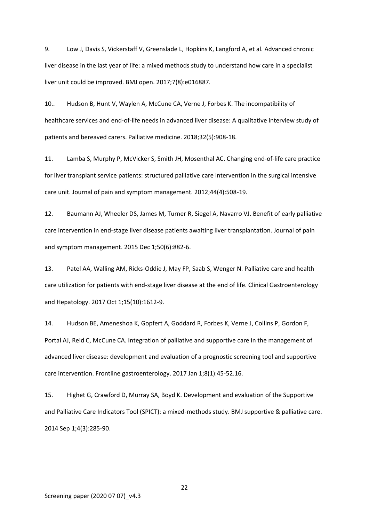9. Low J, Davis S, Vickerstaff V, Greenslade L, Hopkins K, Langford A, et al. Advanced chronic liver disease in the last year of life: a mixed methods study to understand how care in a specialist liver unit could be improved. BMJ open. 2017;7(8):e016887.

10.. Hudson B, Hunt V, Waylen A, McCune CA, Verne J, Forbes K. The incompatibility of healthcare services and end-of-life needs in advanced liver disease: A qualitative interview study of patients and bereaved carers. Palliative medicine. 2018;32(5):908-18.

11. Lamba S, Murphy P, McVicker S, Smith JH, Mosenthal AC. Changing end-of-life care practice for liver transplant service patients: structured palliative care intervention in the surgical intensive care unit. Journal of pain and symptom management. 2012;44(4):508-19.

12. Baumann AJ, Wheeler DS, James M, Turner R, Siegel A, Navarro VJ. Benefit of early palliative care intervention in end-stage liver disease patients awaiting liver transplantation. Journal of pain and symptom management. 2015 Dec 1;50(6):882-6.

13. Patel AA, Walling AM, Ricks-Oddie J, May FP, Saab S, Wenger N. Palliative care and health care utilization for patients with end-stage liver disease at the end of life. Clinical Gastroenterology and Hepatology. 2017 Oct 1;15(10):1612-9.

14. Hudson BE, Ameneshoa K, Gopfert A, Goddard R, Forbes K, Verne J, Collins P, Gordon F, Portal AJ, Reid C, McCune CA. Integration of palliative and supportive care in the management of advanced liver disease: development and evaluation of a prognostic screening tool and supportive care intervention. Frontline gastroenterology. 2017 Jan 1;8(1):45-52.16.

15. Highet G, Crawford D, Murray SA, Boyd K. Development and evaluation of the Supportive and Palliative Care Indicators Tool (SPICT): a mixed-methods study. BMJ supportive & palliative care. 2014 Sep 1;4(3):285-90.